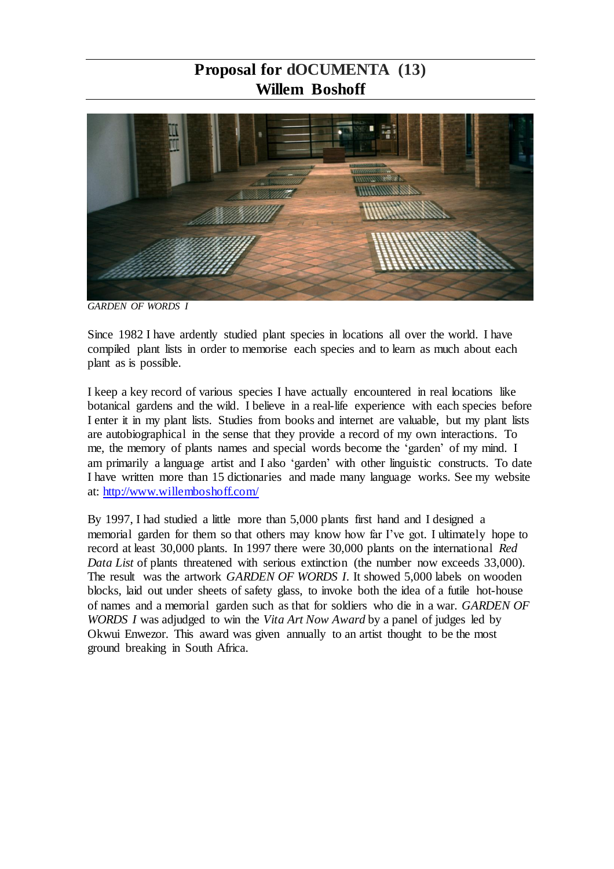## **Proposal for dOCUMENTA (13) Willem Boshoff**



*GARDEN OF WORDS I*

Since 1982 I have ardently studied plant species in locations all over the world. I have compiled plant lists in order to memorise each species and to learn as much about each plant as is possible.

I keep a key record of various species I have actually encountered in real locations like botanical gardens and the wild. I believe in a real-life experience with each species before I enter it in my plant lists. Studies from books and internet are valuable, but my plant lists are autobiographical in the sense that they provide a record of my own interactions. To me, the memory of plants names and special words become the 'garden' of my mind. I am primarily a language artist and I also 'garden' with other linguistic constructs. To date I have written more than 15 dictionaries and made many language works. See my website at:<http://www.willemboshoff.com/>

By 1997, I had studied a little more than 5,000 plants first hand and I designed a memorial garden for them so that others may know how far I've got. I ultimately hope to record at least 30,000 plants. In 1997 there were 30,000 plants on the international *Red Data List* of plants threatened with serious extinction (the number now exceeds 33,000). The result was the artwork *GARDEN OF WORDS I*. It showed 5,000 labels on wooden blocks, laid out under sheets of safety glass, to invoke both the idea of a futile hot-house of names and a memorial garden such as that for soldiers who die in a war. *GARDEN OF WORDS I* was adjudged to win the *Vita Art Now Award* by a panel of judges led by Okwui Enwezor. This award was given annually to an artist thought to be the most ground breaking in South Africa.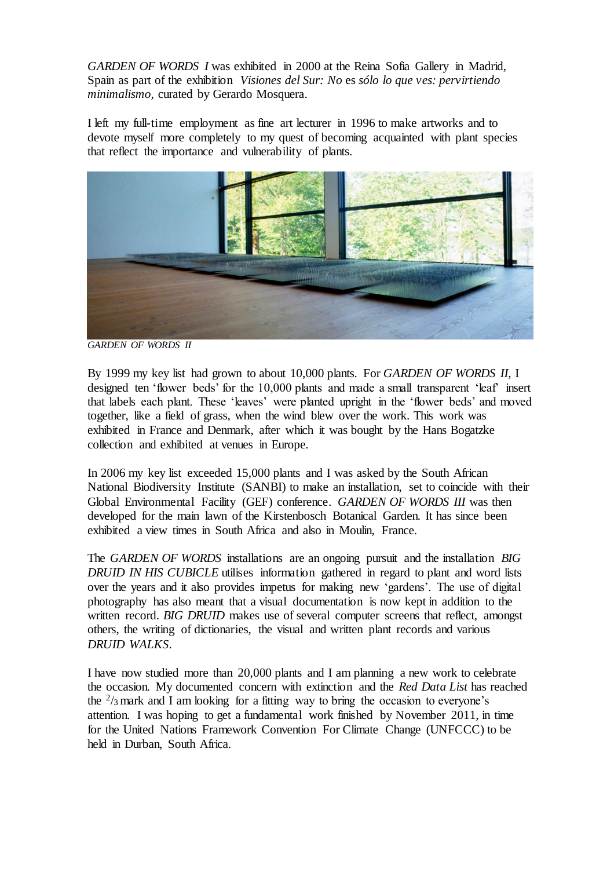*GARDEN OF WORDS I* was exhibited in 2000 at the Reina Sofia Gallery in Madrid, Spain as part of the exhibition *Visiones del Sur: No* es *sólo lo que ves: pervirtiendo minimalismo,* curated by Gerardo Mosquera.

I left my full-time employment as fine art lecturer in 1996 to make artworks and to devote myself more completely to my quest of becoming acquainted with plant species that reflect the importance and vulnerability of plants.



*GARDEN OF WORDS II*

By 1999 my key list had grown to about 10,000 plants. For *GARDEN OF WORDS II*, I designed ten 'flower beds' for the 10,000 plants and made a small transparent 'leaf' insert that labels each plant. These 'leaves' were planted upright in the 'flower beds' and moved together, like a field of grass, when the wind blew over the work. This work was exhibited in France and Denmark, after which it was bought by the Hans Bogatzke collection and exhibited at venues in Europe.

In 2006 my key list exceeded 15,000 plants and I was asked by the South African National Biodiversity Institute (SANBI) to make an installation, set to coincide with their Global Environmental Facility (GEF) conference. *GARDEN OF WORDS III* was then developed for the main lawn of the Kirstenbosch Botanical Garden. It has since been exhibited a view times in South Africa and also in Moulin, France.

The *GARDEN OF WORDS* installations are an ongoing pursuit and the installation *BIG DRUID IN HIS CUBICLE* utilises information gathered in regard to plant and word lists over the years and it also provides impetus for making new 'gardens'. The use of digital photography has also meant that a visual documentation is now kept in addition to the written record. *BIG DRUID* makes use of several computer screens that reflect, amongst others, the writing of dictionaries, the visual and written plant records and various *DRUID WALKS*.

I have now studied more than 20,000 plants and I am planning a new work to celebrate the occasion. My documented concern with extinction and the *Red Data List* has reached the  $\frac{2}{3}$  mark and I am looking for a fitting way to bring the occasion to everyone's attention. I was hoping to get a fundamental work finished by November 2011, in time for the United Nations Framework Convention For Climate Change (UNFCCC) to be held in Durban, South Africa.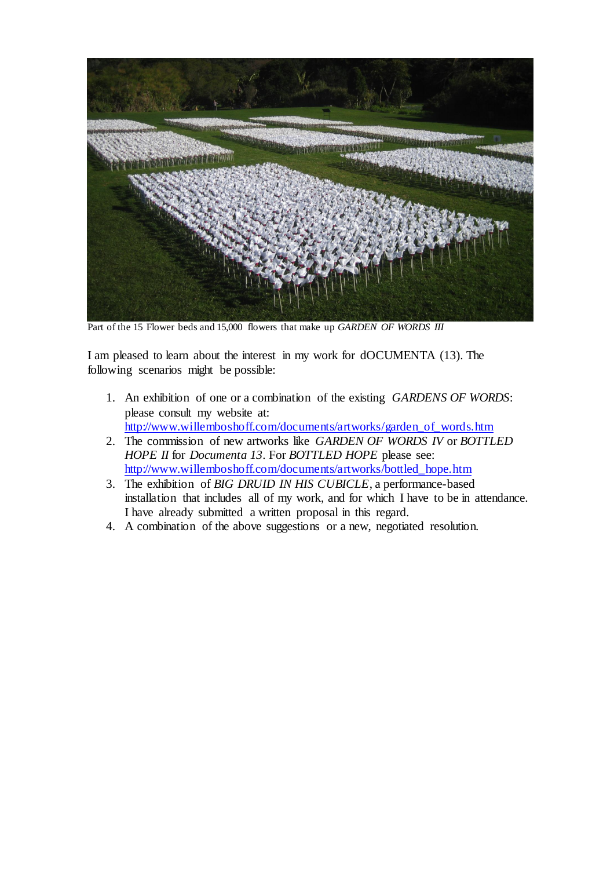

Part of the 15 Flower beds and 15,000 flowers that make up *GARDEN OF WORDS III*

I am pleased to learn about the interest in my work for dOCUMENTA (13). The following scenarios might be possible:

- 1. An exhibition of one or a combination of the existing *GARDENS OF WORDS*: please consult my website at: [http://www.willemboshoff.com/documents/artworks/garden\\_of\\_words.htm](http://www.willemboshoff.com/documents/artworks/garden_of_words.htm)
- 2. The commission of new artworks like *GARDEN OF WORDS IV* or *BOTTLED HOPE II* for *Documenta 13*. For *BOTTLED HOPE* please see: [http://www.willemboshoff.com/documents/artworks/bottled\\_hope.htm](http://www.willemboshoff.com/documents/artworks/bottled_hope.htm)
- 3. The exhibition of *BIG DRUID IN HIS CUBICLE*, a performance-based installation that includes all of my work, and for which I have to be in attendance. I have already submitted a written proposal in this regard.
- 4. A combination of the above suggestions or a new, negotiated resolution.